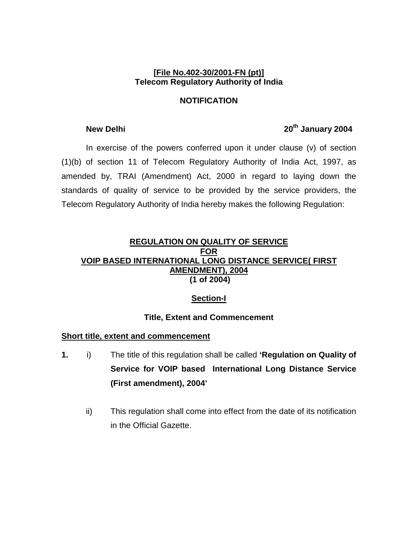#### **[File No.402-30/2001-FN (pt)] Telecom Regulatory Authority of India**

### **NOTIFICATION**

# **New Delhi** 2004

 In exercise of the powers conferred upon it under clause (v) of section (1)(b) of section 11 of Telecom Regulatory Authority of India Act, 1997, as amended by, TRAI (Amendment) Act, 2000 in regard to laying down the standards of quality of service to be provided by the service providers, the Telecom Regulatory Authority of India hereby makes the following Regulation:

#### **REGULATION ON QUALITY OF SERVICE FOR VOIP BASED INTERNATIONAL LONG DISTANCE SERVICE( FIRST AMENDMENT), 2004 (1 of 2004)**

## **Section-I**

## **Title, Extent and Commencement**

### **Short title, extent and commencement**

- **1.** i) The title of this regulation shall be called **'Regulation on Quality of Service for VOIP based International Long Distance Service (First amendment), 2004'** 
	- ii) This regulation shall come into effect from the date of its notification in the Official Gazette.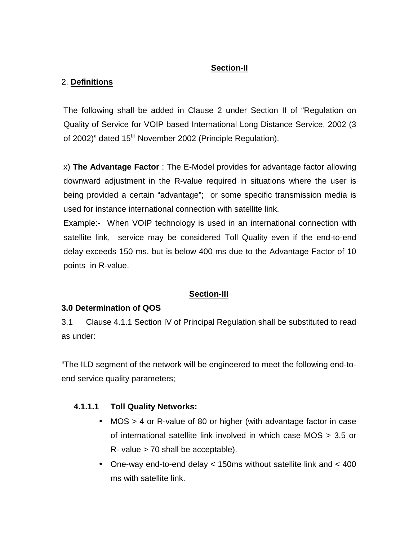## **Section-II**

# 2. **Definitions**

The following shall be added in Clause 2 under Section II of "Regulation on Quality of Service for VOIP based International Long Distance Service, 2002 (3 of 2002)" dated 15<sup>th</sup> November 2002 (Principle Regulation).

x) **The Advantage Factor** : The E-Model provides for advantage factor allowing downward adjustment in the R-value required in situations where the user is being provided a certain "advantage"; or some specific transmission media is used for instance international connection with satellite link.

Example:- When VOIP technology is used in an international connection with satellite link, service may be considered Toll Quality even if the end-to-end delay exceeds 150 ms, but is below 400 ms due to the Advantage Factor of 10 points in R-value.

# **Section-III**

## **3.0 Determination of QOS**

3.1 Clause 4.1.1 Section IV of Principal Regulation shall be substituted to read as under:

"The ILD segment of the network will be engineered to meet the following end-toend service quality parameters;

# **4.1.1.1 Toll Quality Networks:**

- MOS > 4 or R-value of 80 or higher (with advantage factor in case of international satellite link involved in which case MOS > 3.5 or  $R-$  value  $> 70$  shall be acceptable).
- One-way end-to-end delay < 150ms without satellite link and < 400 ms with satellite link.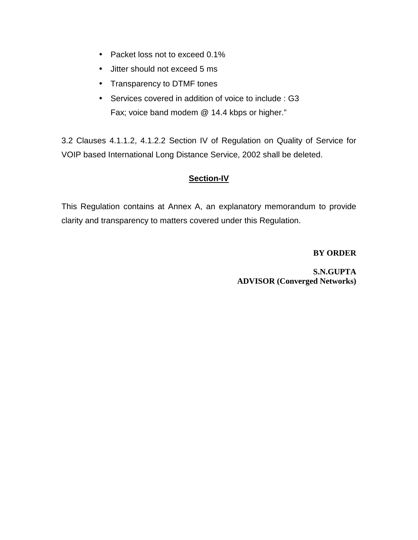- Packet loss not to exceed 0.1%
- Jitter should not exceed 5 ms
- Transparency to DTMF tones
- Services covered in addition of voice to include : G3 Fax; voice band modem @ 14.4 kbps or higher."

3.2 Clauses 4.1.1.2, 4.1.2.2 Section IV of Regulation on Quality of Service for VOIP based International Long Distance Service, 2002 shall be deleted.

## **Section-IV**

This Regulation contains at Annex A, an explanatory memorandum to provide clarity and transparency to matters covered under this Regulation.

**BY ORDER** 

**S.N.GUPTA ADVISOR (Converged Networks)**